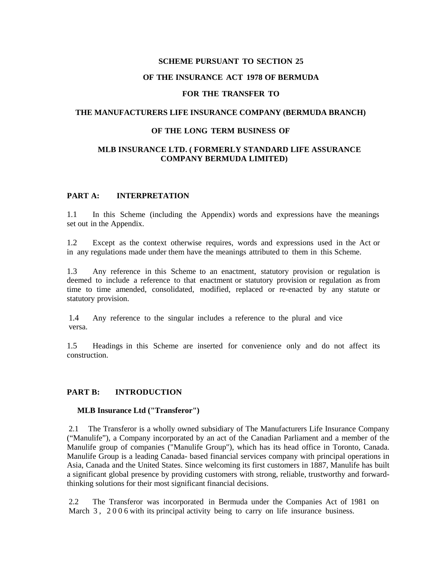# **SCHEME PURSUANT TO SECTION 25 OF THE INSURANCE ACT 1978 OF BERMUDA**

### **FOR THE TRANSFER TO**

### **THE MANUFACTURERS LIFE INSURANCE COMPANY (BERMUDA BRANCH)**

### **OF THE LONG TERM BUSINESS OF**

### **MLB INSURANCE LTD. ( FORMERLY STANDARD LIFE ASSURANCE COMPANY BERMUDA LIMITED)**

#### **PART A: INTERPRETATION**

1.1 In this Scheme (including the Appendix) words and expressions have the meanings set out in the Appendix.

1.2 Except as the context otherwise requires, words and expressions used in the Act or in any regulations made under them have the meanings attributed to them in this Scheme.

1.3 Any reference in this Scheme to an enactment, statutory provision or regulation is deemed to include a reference to that enactment or statutory provision or regulation as from time to time amended, consolidated, modified, replaced or re-enacted by any statute or statutory provision.

1.4 Any reference to the singular includes a reference to the plural and vice versa.

1.5 Headings in this Scheme are inserted for convenience only and do not affect its construction.

### **PART B: INTRODUCTION**

#### **MLB Insurance Ltd ("Transferor")**

2.1 The Transferor is a wholly owned subsidiary of The Manufacturers Life Insurance Company ("Manulife"), a Company incorporated by an act of the Canadian Parliament and a member of the Manulife group of companies ("Manulife Group"), which has its head office in Toronto, Canada. Manulife Group is a leading Canada- based financial services company with principal operations in Asia, Canada and the United States. Since welcoming its first customers in 1887, Manulife has built a significant global presence by providing customers with strong, reliable, trustworthy and forwardthinking solutions for their most significant financial decisions.

2.2 The Transferor was incorporated in Bermuda under the Companies Act of 1981 on March 3, 2006 with its principal activity being to carry on life insurance business.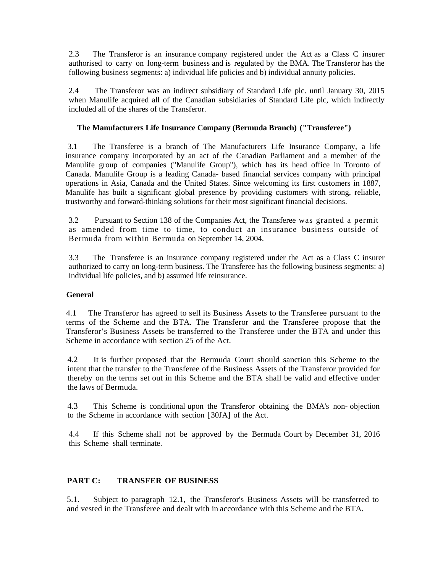2.3 The Transferor is an insurance company registered under the Act as a Class C insurer authorised to carry on long-term business and is regulated by the BMA. The Transferor has the following business segments: a) individual life policies and b) individual annuity policies.

2.4 The Transferor was an indirect subsidiary of Standard Life plc. until January 30, 2015 when Manulife acquired all of the Canadian subsidiaries of Standard Life plc, which indirectly included all of the shares of the Transferor.

# **The Manufacturers Life Insurance Company (Bermuda Branch) ("Transferee")**

3.1 The Transferee is a branch of The Manufacturers Life Insurance Company, a life insurance company incorporated by an act of the Canadian Parliament and a member of the Manulife group of companies ("Manulife Group"), which has its head office in Toronto of Canada. Manulife Group is a leading Canada- based financial services company with principal operations in Asia, Canada and the United States. Since welcoming its first customers in 1887, Manulife has built a significant global presence by providing customers with strong, reliable, trustworthy and forward-thinking solutions for their most significant financial decisions.

3.2 Pursuant to Section 138 of the Companies Act, the Transferee was granted a permit as amended from time to time, to conduct an insurance business outside of Bermuda from within Bermuda on September 14, 2004.

3.3 The Transferee is an insurance company registered under the Act as a Class C insurer authorized to carry on long-term business. The Transferee has the following business segments: a) individual life policies, and b) assumed life reinsurance.

### **General**

4.1 The Transferor has agreed to sell its Business Assets to the Transferee pursuant to the terms of the Scheme and the BTA. The Transferor and the Transferee propose that the Transferor's Business Assets be transferred to the Transferee under the BTA and under this Scheme in accordance with section 25 of the Act.

4.2 It is further proposed that the Bermuda Court should sanction this Scheme to the intent that the transfer to the Transferee of the Business Assets of the Transferor provided for thereby on the terms set out in this Scheme and the BTA shall be valid and effective under the laws of Bermuda.

4.3 This Scheme is conditional upon the Transferor obtaining the BMA's non- objection to the Scheme in accordance with section [30JA] of the Act.

4.4 If this Scheme shall not be approved by the Bermuda Court by December 31, 2016 this Scheme shall terminate.

# **PART C: TRANSFER OF BUSINESS**

5.1. Subject to paragraph 12.1, the Transferor's Business Assets will be transferred to and vested in the Transferee and dealt with in accordance with this Scheme and the BTA.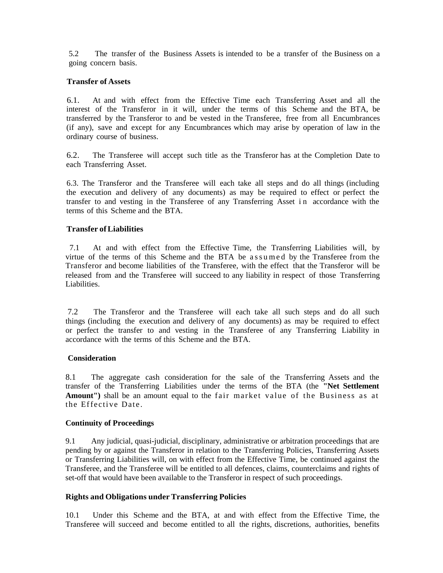5.2 The transfer of the Business Assets is intended to be a transfer of the Business on a going concern basis.

### **Transfer of Assets**

6.1. At and with effect from the Effective Time each Transferring Asset and all the interest of the Transferor in it will, under the terms of this Scheme and the BTA, be transferred by the Transferor to and be vested in the Transferee, free from all Encumbrances (if any), save and except for any Encumbrances which may arise by operation of law in the ordinary course of business.

6.2. The Transferee will accept such title as the Transferor has at the Completion Date to each Transferring Asset.

6.3. The Transferor and the Transferee will each take all steps and do all things (including the execution and delivery of any documents) as may be required to effect or perfect the transfer to and vesting in the Transferee of any Transferring Asset i n accordance with the terms of this Scheme and the BTA.

### **Transfer ofLiabilities**

 7.1 At and with effect from the Effective Time, the Transferring Liabilities will, by virtue of the terms of this Scheme and the BTA be assumed by the Transferee from the Transferor and become liabilities of the Transferee, with the effect that the Transferor will be released from and the Transferee will succeed to any liability in respect of those Transferring Liabilities.

7.2 The Transferor and the Transferee will each take all such steps and do all such things (including the execution and delivery of any documents) as may be required to effect or perfect the transfer to and vesting in the Transferee of any Transferring Liability in accordance with the terms of this Scheme and the BTA.

#### **Consideration**

8.1 The aggregate cash consideration for the sale of the Transferring Assets and the transfer of the Transferring Liabilities under the terms of the BTA (the **"Net Settlement Amount")** shall be an amount equal to the fair market value of the Business as at the Effective Date .

#### **Continuity of Proceedings**

9.1 Any judicial, quasi-judicial, disciplinary, administrative or arbitration proceedings that are pending by or against the Transferor in relation to the Transferring Policies, Transferring Assets or Transferring Liabilities will, on with effect from the Effective Time, be continued against the Transferee, and the Transferee will be entitled to all defences, claims, counterclaims and rights of set-off that would have been available to the Transferor in respect of such proceedings.

### **Rights and Obligations under Transferring Policies**

10.1 Under this Scheme and the BTA, at and with effect from the Effective Time, the Transferee will succeed and become entitled to all the rights, discretions, authorities, benefits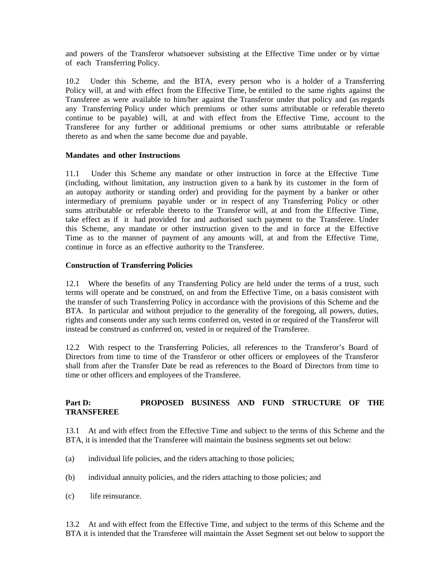and powers of the Transferor whatsoever subsisting at the Effective Time under or by virtue of each Transferring Policy.

10.2 Under this Scheme, and the BTA, every person who is a holder of a Transferring Policy will, at and with effect from the Effective Time, be entitled to the same rights against the Transferee as were available to him/her against the Transferor under that policy and (as regards any Transferring Policy under which premiums or other sums attributable or referable thereto continue to be payable) will, at and with effect from the Effective Time, account to the Transferee for any further or additional premiums or other sums attributable or referable thereto as and when the same become due and payable.

### **Mandates and other Instructions**

11.1 Under this Scheme any mandate or other instruction in force at the Effective Time (including, without limitation, any instruction given to a bank by its customer in the form of an autopay authority or standing order) and providing for the payment by a banker or other intermediary of premiums payable under or in respect of any Transferring Policy or other sums attributable or referable thereto to the Transferor will, at and from the Effective Time, take effect as if it had provided for and authorised such payment to the Transferee. Under this Scheme, any mandate or other instruction given to the and in force at the Effective Time as to the manner of payment of any amounts will, at and from the Effective Time, continue in force as an effective authority to the Transferee.

#### **Construction of Transferring Policies**

12.1 Where the benefits of any Transferring Policy are held under the terms of a trust, such terms will operate and be construed, on and from the Effective Time, on a basis consistent with the transfer of such Transferring Policy in accordance with the provisions of this Scheme and the BTA. In particular and without prejudice to the generality of the foregoing, all powers, duties, rights and consents under any such terms conferred on, vested in or required of the Transferor will instead be construed as conferred on, vested in or required of the Transferee.

12.2 With respect to the Transferring Policies, all references to the Transferor's Board of Directors from time to time of the Transferor or other officers or employees of the Transferor shall from after the Transfer Date be read as references to the Board of Directors from time to time or other officers and employees of the Transferee.

# **Part D: PROPOSED BUSINESS AND FUND STRUCTURE OF THE TRANSFEREE**

13.1 At and with effect from the Effective Time and subject to the terms of this Scheme and the BTA, it is intended that the Transferee will maintain the business segments set out below:

- (a) individual life policies, and the riders attaching to those policies;
- (b) individual annuity policies, and the riders attaching to those policies; and
- (c) life reinsurance.

13.2 At and with effect from the Effective Time, and subject to the terms of this Scheme and the BTA it is intended that the Transferee will maintain the Asset Segment set out below to support the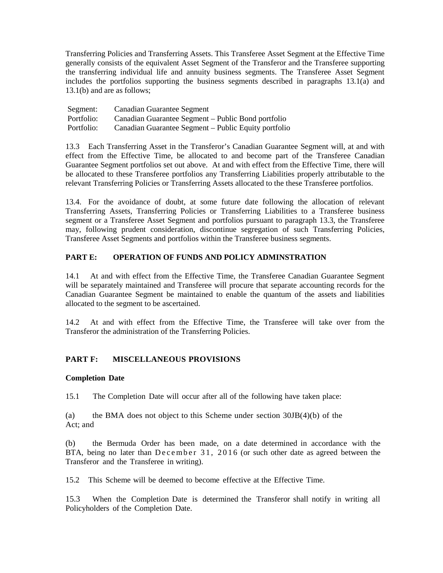Transferring Policies and Transferring Assets. This Transferee Asset Segment at the Effective Time generally consists of the equivalent Asset Segment of the Transferor and the Transferee supporting the transferring individual life and annuity business segments. The Transferee Asset Segment includes the portfolios supporting the business segments described in paragraphs 13.1(a) and 13.1(b) and are as follows;

| Segment:   | Canadian Guarantee Segment                           |
|------------|------------------------------------------------------|
| Portfolio: | Canadian Guarantee Segment – Public Bond portfolio   |
| Portfolio: | Canadian Guarantee Segment – Public Equity portfolio |

13.3 Each Transferring Asset in the Transferor's Canadian Guarantee Segment will, at and with effect from the Effective Time, be allocated to and become part of the Transferee Canadian Guarantee Segment portfolios set out above. At and with effect from the Effective Time, there will be allocated to these Transferee portfolios any Transferring Liabilities properly attributable to the relevant Transferring Policies or Transferring Assets allocated to the these Transferee portfolios.

13.4. For the avoidance of doubt, at some future date following the allocation of relevant Transferring Assets, Transferring Policies or Transferring Liabilities to a Transferee business segment or a Transferee Asset Segment and portfolios pursuant to paragraph 13.3, the Transferee may, following prudent consideration, discontinue segregation of such Transferring Policies, Transferee Asset Segments and portfolios within the Transferee business segments.

### **PART E: OPERATION OF FUNDS AND POLICY ADMINSTRATION**

14.1 At and with effect from the Effective Time, the Transferee Canadian Guarantee Segment will be separately maintained and Transferee will procure that separate accounting records for the Canadian Guarantee Segment be maintained to enable the quantum of the assets and liabilities allocated to the segment to be ascertained.

14.2 At and with effect from the Effective Time, the Transferee will take over from the Transferor the administration of the Transferring Policies.

### **PART F: MISCELLANEOUS PROVISIONS**

### **Completion Date**

15.1 The Completion Date will occur after all of the following have taken place:

(a) the BMA does not object to this Scheme under section  $30\text{B}(4)(b)$  of the Act; and

(b) the Bermuda Order has been made, on a date determined in accordance with the BTA, being no later than December 31, 2016 (or such other date as agreed between the Transferor and the Transferee in writing).

15.2 This Scheme will be deemed to become effective at the Effective Time.

15.3 When the Completion Date is determined the Transferor shall notify in writing all Policyholders of the Completion Date.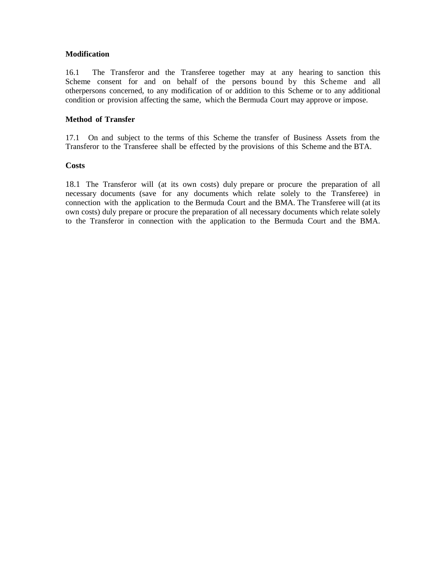### **Modification**

16.1 The Transferor and the Transferee together may at any hearing to sanction this Scheme consent for and on behalf of the persons bound by this Scheme and all otherpersons concerned, to any modification of or addition to this Scheme or to any additional condition or provision affecting the same, which the Bermuda Court may approve or impose.

### **Method of Transfer**

17.1 On and subject to the terms of this Scheme the transfer of Business Assets from the Transferor to the Transferee shall be effected by the provisions of this Scheme and the BTA.

### **Costs**

18.1 The Transferor will (at its own costs) duly prepare or procure the preparation of all necessary documents (save for any documents which relate solely to the Transferee) in connection with the application to the Bermuda Court and the BMA. The Transferee will (at its own costs) duly prepare or procure the preparation of all necessary documents which relate solely to the Transferor in connection with the application to the Bermuda Court and the BMA.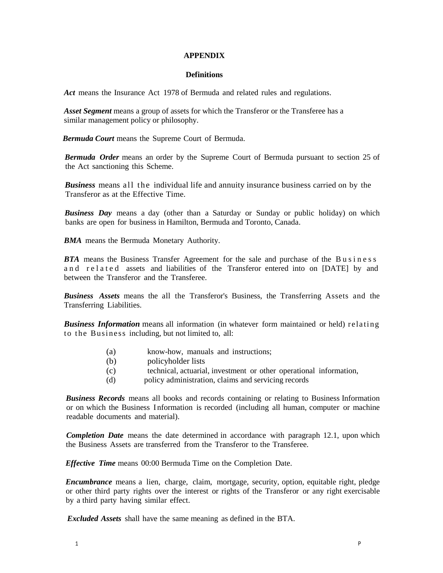#### **APPENDIX**

#### **Definitions**

*Act* means the Insurance Act 1978 of Bermuda and related rules and regulations.

*Asset Segment* means a group of assets for which the Transferor or the Transferee has a similar management policy or philosophy.

*Bermuda Court* means the Supreme Court of Bermuda.

*Bermuda Order* means an order by the Supreme Court of Bermuda pursuant to section 25 of the Act sanctioning this Scheme.

*Business* means all the individual life and annuity insurance business carried on by the Transferor as at the Effective Time.

*Business Day* means a day (other than a Saturday or Sunday or public holiday) on which banks are open for business in Hamilton, Bermuda and Toronto, Canada.

*BMA* means the Bermuda Monetary Authority.

*BTA* means the Business Transfer Agreement for the sale and purchase of the Business and related assets and liabilities of the Transferor entered into on [DATE] by and between the Transferor and the Transferee.

*Business Assets* means the all the Transferor's Business, the Transferring Assets and the Transferring Liabilities.

*Business Information* means all information (in whatever form maintained or held) relating to the Business including, but not limited to, all:

- (a) know-how, manuals and instructions;
- (b) policyholder lists
- (c) technical, actuarial, investment or other operational information,
- (d) policy administration, claims and servicing records

*Business Records* means all books and records containing or relating to Business Information or on which the Business I nformation is recorded (including all human, computer or machine readable documents and material).

*Completion Date* means the date determined in accordance with paragraph 12.1, upon which the Business Assets are transferred from the Transferor to the Transferee.

*Effective Time* means 00:00 Bermuda Time on the Completion Date.

*Encumbrance* means a lien, charge, claim, mortgage, security, option, equitable right, pledge or other third party rights over the interest or rights of the Transferor or any right exercisable by a third party having similar effect.

*Excluded Assets* shall have the same meaning as defined in the BTA.